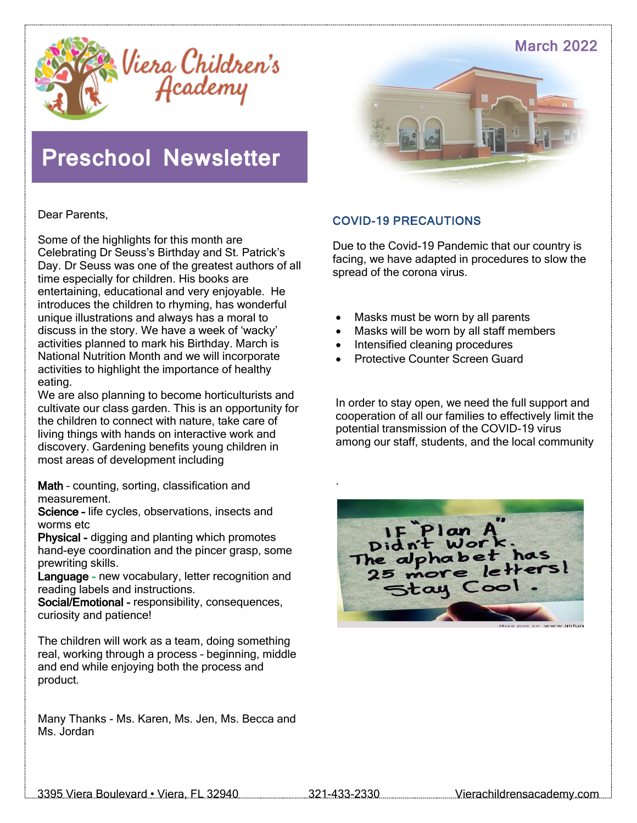



# **Preschool Newsletter**



Dear Parents,

Some of the highlights for this month are Celebrating Dr Seuss's Birthday and St. Patrick's Day. Dr Seuss was one of the greatest authors of all time especially for children. His books are entertaining, educational and very enjoyable. He introduces the children to rhyming, has wonderful unique illustrations and always has a moral to discuss in the story. We have a week of 'wacky' activities planned to mark his Birthday. March is National Nutrition Month and we will incorporate activities to highlight the importance of healthy eating.

We are also planning to become horticulturists and cultivate our class garden. This is an opportunity for the children to connect with nature, take care of living things with hands on interactive work and discovery. Gardening benefits young children in most areas of development including

Math - counting, sorting, classification and measurement.

Science - life cycles, observations, insects and worms etc

Physical - digging and planting which promotes hand-eye coordination and the pincer grasp, some prewriting skills.

Language - new vocabulary, letter recognition and reading labels and instructions.

Social/Emotional - responsibility, consequences, curiosity and patience!

The children will work as a team, doing something real, working through a process – beginning, middle and end while enjoying both the process and product.

Many Thanks - Ms. Karen, Ms. Jen, Ms. Becca and Ms. Jordan

#### COVID-19 PRECAUTIONS

Due to the Covid-19 Pandemic that our country is facing, we have adapted in procedures to slow the spread of the corona virus.

- Masks must be worn by all parents
- Masks will be worn by all staff members
- Intensified cleaning procedures
- Protective Counter Screen Guard

In order to stay open, we need the full support and cooperation of all our families to effectively limit the potential transmission of the COVID-19 virus among our staff, students, and the local community



.